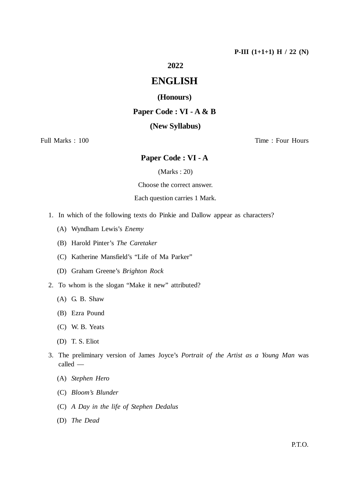## **2022**

# **ENGLISH**

## **(Honours)**

## **Paper Code : VI - A & B**

### **(New Syllabus)**

## Full Marks : 100 Time : Four Hours

## **Paper Code : VI - A**

(Marks : 20)

Choose the correct answer.

Each question carries 1 Mark.

- 1. In which of the following texts do Pinkie and Dallow appear as characters?
	- (A) Wyndham Lewis's *Enemy*
	- (B) Harold Pinter's *The Caretaker*
	- (C) Katherine Mansfield's "Life of Ma Parker"
	- (D) Graham Greene's *Brighton Rock*
- 2. To whom is the slogan "Make it new" attributed?
	- (A) G. B. Shaw
	- (B) Ezra Pound
	- (C) W. B. Yeats
	- (D) T. S. Eliot
- 3. The preliminary version of James Joyce's *Portrait of the Artist as a Young Man* was called —
	- (A) *Stephen Hero*
	- (C) *Bloom's Blunder*
	- (C) *A Day in the life of Stephen Dedalus*
	- (D) *The Dead*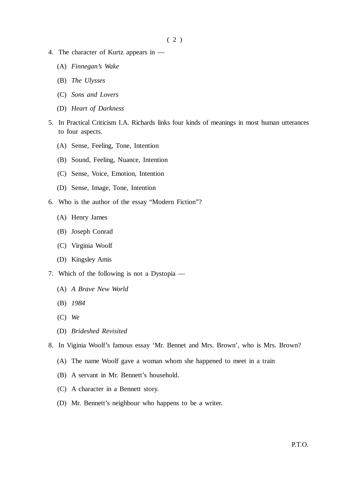- 4. The character of Kurtz appears in
	- (A) *Finnegan's Wake*
	- (B) *The Ulysses*
	- (C) *Sons and Lovers*
	- (D) *Heart of Darkness*
- 5. In Practical Criticism I.A. Richards links four kinds of meanings in most human utterances to four aspects.
	- (A) Sense, Feeling, Tone, Intention
	- (B) Sound, Feeling, Nuance, Intention
	- (C) Sense, Voice, Emotion, Intention
	- (D) Sense, Image, Tone, Intention
- 6. Who is the author of the essay "Modern Fiction"?
	- (A) Henry James
	- (B) Joseph Conrad
	- (C) Virginia Woolf
	- (D) Kingsley Amis
- 7. Which of the following is not a Dystopia
	- (A) *A Brave New World*
	- (B) *1984*
	- (C) *We*
	- (D) *Brideshed Revisited*

8. In Viginia Woolf's famous essay 'Mr. Bennet and Mrs. Brown', who is Mrs. Brown?

- (A) The name Woolf gave a woman whom she happened to meet in a train
- (B) A servant in Mr. Bennett's household.
- (C) A character in a Bennett story.
- (D) Mr. Bennett's neighbour who happens to be a writer.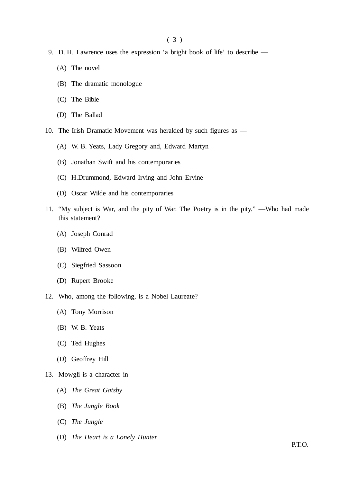- 9. D. H. Lawrence uses the expression 'a bright book of life' to describe
	- (A) The novel
	- (B) The dramatic monologue
	- (C) The Bible
	- (D) The Ballad
- 10. The Irish Dramatic Movement was heralded by such figures as
	- (A) W. B. Yeats, Lady Gregory and, Edward Martyn
	- (B) Jonathan Swift and his contemporaries
	- (C) H.Drummond, Edward Irving and John Ervine
	- (D) Oscar Wilde and his contemporaries
- 11. "My subject is War, and the pity of War. The Poetry is in the pity." —Who had made this statement?
	- (A) Joseph Conrad
	- (B) Wilfred Owen
	- (C) Siegfried Sassoon
	- (D) Rupert Brooke
- 12. Who, among the following, is a Nobel Laureate?
	- (A) Tony Morrison
	- (B) W. B. Yeats
	- (C) Ted Hughes
	- (D) Geoffrey Hill
- 13. Mowgli is a character in
	- (A) *The Great Gatsby*
	- (B) *The Jungle Book*
	- (C) *The Jungle*
	- (D) *The Heart is a Lonely Hunter*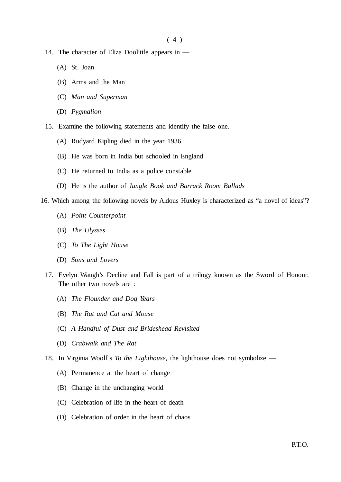$(4)$ 

- 14. The character of Eliza Doolittle appears in
	- (A) St. Joan
	- (B) Arms and the Man
	- (C) *Man and Superman*
	- (D) *Pygmalion*
- 15. Examine the following statements and identify the false one.
	- (A) Rudyard Kipling died in the year 1936
	- (B) He was born in India but schooled in England
	- (C) He returned to India as a police constable
	- (D) He is the author of *Jungle Book and Barrack Room Ballads*
- 16. Which among the following novels by Aldous Huxley is characterized as "a novel of ideas"?
	- (A) *Point Counterpoint*
	- (B) *The Ulysses*
	- (C) *To The Light House*
	- (D) *Sons and Lovers*
	- 17. Evelyn Waugh's Decline and Fall is part of a trilogy known as the Sword of Honour. The other two novels are :
		- (A) *The Flounder and Dog Years*
		- (B) *The Rat and Cat and Mouse*
		- (C) *A Handful of Dust and Brideshead Revisited*
		- (D) *Crabwalk and The Rat*
	- 18. In Virginia Woolf's *To the Lighthouse*, the lighthouse does not symbolize
		- (A) Permanence at the heart of change
		- (B) Change in the unchanging world
		- (C) Celebration of life in the heart of death
		- (D) Celebration of order in the heart of chaos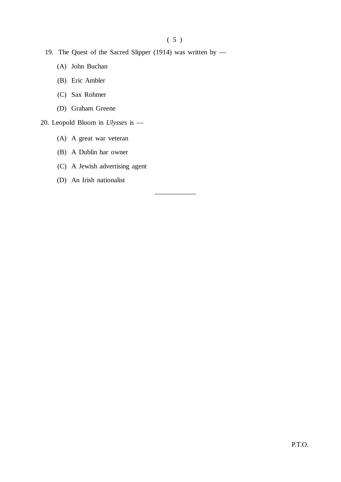——————

- 19. The Quest of the Sacred Slipper (1914) was written by
	- (A) John Buchan
	- (B) Eric Ambler
	- (C) Sax Rohmer
	- (D) Graham Greene
- 20. Leopold Bloom in *Ulysses* is
	- (A) A great war veteran
	- (B) A Dublin bar owner
	- (C) A Jewish advertising agent
	- (D) An Irish nationalist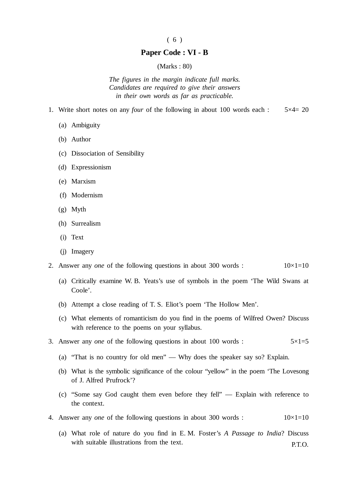#### ( 6 )

#### **Paper Code : VI - B**

#### (Marks : 80)

*The figures in the margin indicate full marks. Candidates are required to give their answers in their own words as far as practicable.*

- 1. Write short notes on any *four* of the following in about 100 words each : 5×4= 20
	- (a) Ambiguity
	- (b) Author
	- (c) Dissociation of Sensibility
	- (d) Expressionism
	- (e) Marxism
	- (f) Modernism
	- (g) Myth
	- (h) Surrealism
	- (i) Text
	- (j) Imagery
- 2. Answer any *one* of the following questions in about 300 words :  $10\times1=10$ 
	- (a) Critically examine W. B. Yeats's use of symbols in the poem 'The Wild Swans at Coole'.
	- (b) Attempt a close reading of T. S. Eliot's poem 'The Hollow Men'.
	- (c) What elements of romanticism do you find in the poems of Wilfred Owen? Discuss with reference to the poems on your syllabus.
- 3. Answer any *one* of the following questions in about 100 words :  $5 \times 1 = 5$ 
	- (a) "That is no country for old men" Why does the speaker say so? Explain.
	- (b) What is the symbolic significance of the colour "yellow" in the poem 'The Lovesong of J. Alfred Prufrock'?
	- (c) "Some say God caught them even before they fell" Explain with reference to the context.
- 4. Answer any *one* of the following questions in about 300 words :  $10\times1=10$ 
	- P.T.O. (a) What role of nature do you find in E. M. Foster's *A Passage to India*? Discuss with suitable illustrations from the text.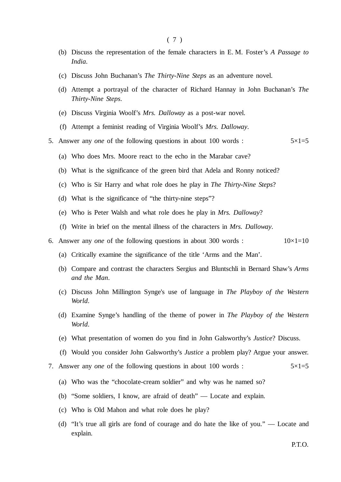- (b) Discuss the representation of the female characters in E. M. Foster's *A Passage to India*.
- (c) Discuss John Buchanan's *The Thirty-Nine Steps* as an adventure novel.
- (d) Attempt a portrayal of the character of Richard Hannay in John Buchanan's *The Thirty-Nine Steps*.
- (e) Discuss Virginia Woolf's *Mrs. Dalloway* as a post-war novel.
- (f) Attempt a feminist reading of Virginia Woolf's *Mrs. Dalloway*.
- 5. Answer any *one* of the following questions in about 100 words :  $5 \times 1 = 5$ 
	- (a) Who does Mrs. Moore react to the echo in the Marabar cave?
	- (b) What is the significance of the green bird that Adela and Ronny noticed?
	- (c) Who is Sir Harry and what role does he play in *The Thirty-Nine Steps*?
	- (d) What is the significance of "the thirty-nine steps"?
	- (e) Who is Peter Walsh and what role does he play in *Mrs. Dalloway*?
	- (f) Write in brief on the mental illness of the characters in *Mrs. Dalloway*.
- 6. Answer any *one* of the following questions in about 300 words :  $10\times1=10$ 
	- (a) Critically examine the significance of the title 'Arms and the Man'.
	- (b) Compare and contrast the characters Sergius and Bluntschli in Bernard Shaw's *Arms and the Man*.
	- (c) Discuss John Millington Synge's use of language in *The Playboy of the Western World*.
	- (d) Examine Synge's handling of the theme of power in *The Playboy of the Western World*.
	- (e) What presentation of women do you find in John Galsworthy's *Justice*? Discuss.
	- (f) Would you consider John Galsworthy's *Justice* a problem play? Argue your answer.
- 7. Answer any *one* of the following questions in about 100 words :  $5 \times 1 = 5$ 
	- (a) Who was the "chocolate-cream soldier" and why was he named so?
	- (b) "Some soldiers, I know, are afraid of death" Locate and explain.
	- (c) Who is Old Mahon and what role does he play?
	- (d) "It's true all girls are fond of courage and do hate the like of you." Locate and explain.